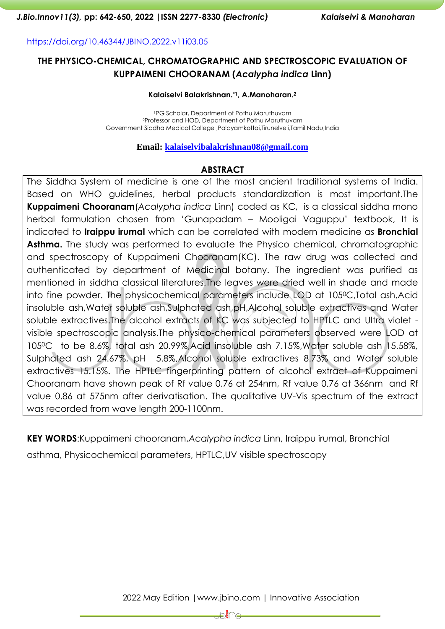<https://doi.org/10.46344/JBINO.2022.v11i03.05>

# **THE PHYSICO-CHEMICAL, CHROMATOGRAPHIC AND SPECTROSCOPIC EVALUATION OF KUPPAIMENI CHOORANAM (***Acalypha indica* **Linn)**

**Kalaiselvi Balakrishnan.\*1, A.Manoharan.<sup>2</sup>**

<sup>1</sup>PG Scholar, Department of Pothu Maruthuvam <sup>2</sup>Professor and HOD, Department of Pothu Maruthuvam Government Siddha Medical College ,Palayamkottai,Tirunelveli,Tamil Nadu,India

#### **Email: [kalaiselvibalakrishnan08@gmail.com](../Doc/kalaiselvibalakrishnan08@gmail.com)**

# **ABSTRACT**

The Siddha System of medicine is one of the most ancient traditional systems of India. Based on WHO guidelines, herbal products standardization is most important.The **Kuppaimeni Chooranam**(*Acalypha indica* Linn) coded as KC, is a classical siddha mono herbal formulation chosen from 'Gunapadam – Mooligai Vaguppu' textbook, It is indicated to **Iraippu irumal** which can be correlated with modern medicine as **Bronchial Asthma.** The study was performed to evaluate the Physico chemical, chromatographic and spectroscopy of Kuppaimeni Chooranam(KC). The raw drug was collected and authenticated by department of Medicinal botany. The ingredient was purified as mentioned in siddha classical literatures.The leaves were dried well in shade and made into fine powder. The physicochemical parameters include LOD at 105<sup>°</sup>C, Total ash, Acid insoluble ash,Water soluble ash,Sulphated ash,pH,Alcohol soluble extractives and Water soluble extractives.The alcohol extracts of KC was subjected to HPTLC and Ultra violet visible spectroscopic analysis.The physico-chemical parameters observed were LOD at 1050C to be 8.6%, total ash 20.99%,Acid insoluble ash 7.15%,Water soluble ash 15.58%, Sulphated ash 24.67%, pH 5.8%,Alcohol soluble extractives 8.73% and Water soluble extractives 15.15%. The HPTLC fingerprinting pattern of alcohol extract of Kuppaimeni Chooranam have shown peak of Rf value 0.76 at 254nm, Rf value 0.76 at 366nm and Rf value 0.86 at 575nm after derivatisation. The qualitative UV-Vis spectrum of the extract was recorded from wave length 200-1100nm.

**KEY WORDS**:Kuppaimeni chooranam,*Acalypha indica* Linn, Iraippu irumal, Bronchial asthma, Physicochemical parameters, HPTLC,UV visible spectroscopy

₽€∏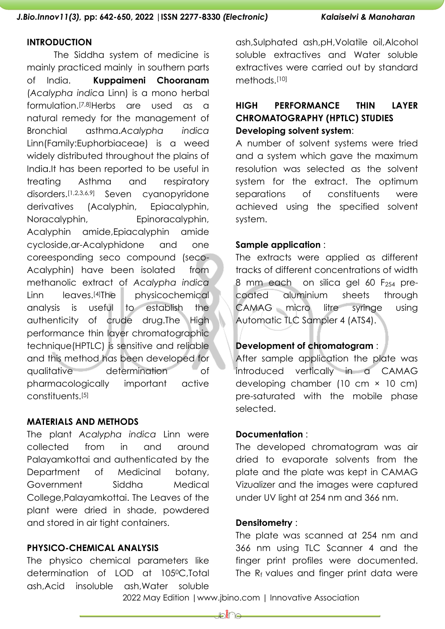### **INTRODUCTION**

The Siddha system of medicine is mainly practiced mainly in southern parts of India. **Kuppaimeni Chooranam** (*Acalypha indic*a Linn) is a mono herbal formulation. [7,8]Herbs are used as a natural remedy for the management of Bronchial asthma.*Acalypha indica* Linn(Family:Euphorbiaceae) is a weed widely distributed throughout the plains of India.It has been reported to be useful in treating Asthma and respiratory disorders.[1,2,3,6,9] Seven cyanopyridone derivatives (Acalyphin, Epiacalyphin, Noracalyphin, Epinoracalyphin, Acalyphin amide,Epiacalyphin amide cycloside,ar-Acalyphidone and one coreesponding seco compound (seco-Acalyphin) have been isolated from methanolic extract of *Acalypha indica* Linn leaves.<sup>[4]</sup>The physicochemical analysis is useful to establish the authenticity of crude drug.The High performance thin layer chromatographic technique(HPTLC) is sensitive and reliable and this method has been developed for qualitative determination of pharmacologically important active constituents.[5]

# **MATERIALS AND METHODS**

The plant *Acalypha indica* Linn were collected from in and around Palayamkottai and authenticated by the Department of Medicinal botany, Government Siddha Medical College,Palayamkottai. The Leaves of the plant were dried in shade, powdered and stored in air tight containers.

# **PHYSICO-CHEMICAL ANALYSIS**

The physico chemical parameters like determination of LOD at 1050C,Total ash,Acid insoluble ash,Water soluble

ash,Sulphated ash,pH,Volatile oil,Alcohol soluble extractives and Water soluble extractives were carried out by standard methods.[10]

# **HIGH PERFORMANCE THIN LAYER CHROMATOGRAPHY (HPTLC) STUDIES Developing solvent system**:

A number of solvent systems were tried and a system which gave the maximum resolution was selected as the solvent system for the extract. The optimum separations of constituents were achieved using the specified solvent system.

### **Sample application** :

The extracts were applied as different tracks of different concentrations of width 8 mm each on silica gel 60  $F_{254}$  precoated aluminium sheets through CAMAG micro litre syringe using Automatic TLC Sampler 4 (ATS4).

# **Development of chromatogram** :

After sample application the plate was introduced vertically in a CAMAG developing chamber (10 cm × 10 cm) pre-saturated with the mobile phase selected.

### **Documentation** :

The developed chromatogram was air dried to evaporate solvents from the plate and the plate was kept in CAMAG Vizualizer and the images were captured under UV light at 254 nm and 366 nm.

### **Densitometry** :

The plate was scanned at 254 nm and 366 nm using TLC Scanner 4 and the finger print profiles were documented. The R<sub>f</sub> values and finger print data were

2022 May Edition |www.jbino.com | Innovative Association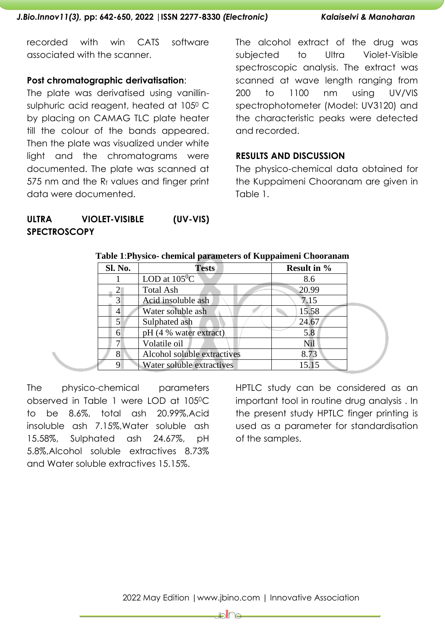recorded with win CATS software associated with the scanner.

# **Post chromatographic derivatisation**:

The plate was derivatised using vanillinsulphuric acid reagent, heated at 105<sup>0</sup> C by placing on CAMAG TLC plate heater till the colour of the bands appeared. Then the plate was visualized under white light and the chromatograms were documented. The plate was scanned at 575 nm and the  $R_f$  values and finger print data were documented.

# **ULTRA VIOLET-VISIBLE (UV-VIS) SPECTROSCOPY**

The alcohol extract of the drug was subjected to Ultra Violet-Visible spectroscopic analysis. The extract was scanned at wave length ranging from 200 to 1100 nm using UV/VIS spectrophotometer (Model: UV3120) and the characteristic peaks were detected and recorded.

## **RESULTS AND DISCUSSION**

The physico-chemical data obtained for the Kuppaimeni Chooranam are given in Table 1.

| Sl. No. | <b>Tests</b>                | <b>Result in %</b> |  |
|---------|-----------------------------|--------------------|--|
|         | LOD at $105^{\circ}$ C      | 8.6                |  |
| 2       | <b>Total Ash</b>            | 20.99              |  |
| 3       | Acid insoluble ash          | 7.15               |  |
| 4       | Water soluble ash           | 15.58              |  |
| 5       | Sulphated ash               | 24.67              |  |
| 6       | pH (4 % water extract)      | 5.8                |  |
| 7       | Volatile oil                | Nil                |  |
| 8       | Alcohol soluble extractives | 8.73               |  |
| Q       | Water soluble extractives   | 15.15              |  |
|         |                             |                    |  |

#### **Table 1**:**Physico- chemical parameters of Kuppaimeni Chooranam**

The physico-chemical parameters observed in Table 1 were LOD at 1050C to be 8.6%, total ash 20.99%,Acid insoluble ash 7.15%,Water soluble ash 15.58%, Sulphated ash 24.67%, pH 5.8%,Alcohol soluble extractives 8.73% and Water soluble extractives 15.15%.

HPTLC study can be considered as an important tool in routine drug analysis . In the present study HPTLC finger printing is used as a parameter for standardisation of the samples.

₽Î∩⊖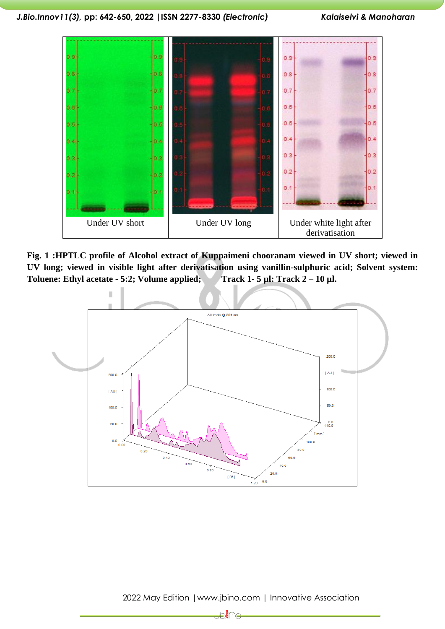### *J.Bio.Innov11(3),* **pp: 642-650, 2022 |ISSN 2277-8330** *(Electronic) Kalaiselvi & Manoharan*



**Fig. 1 :HPTLC profile of Alcohol extract of Kuppaimeni chooranam viewed in UV short; viewed in UV long; viewed in visible light after derivatisation using vanillin-sulphuric acid; Solvent system: Toluene: Ethyl acetate - 5:2; Volume applied; Track 1- 5 µl: Track 2 – 10 µl.**



2022 May Edition |www.jbino.com | Innovative Association

⊫∭a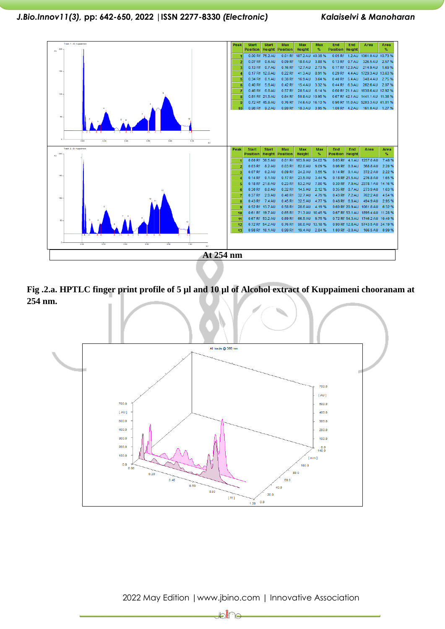

**Fig .2.a. HPTLC finger print profile of 5 µl and 10 µl of Alcohol extract of Kuppaimeni chooranam at 254 nm.**



2022 May Edition |www.jbino.com | Innovative Association

₽₩⊌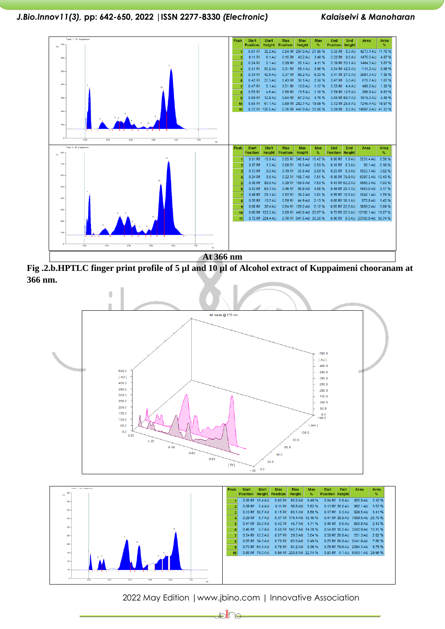### *J.Bio.Innov11(3),* **pp: 642-650, 2022 |ISSN 2277-8330** *(Electronic) Kalaiselvi & Manoharan*



**Fig .2.b.HPTLC finger print profile of 5 µl and 10 µl of Alcohol extract of Kuppaimeni chooranam at 366 nm.**



2022 May Edition |www.jbino.com | Innovative Association

D. 19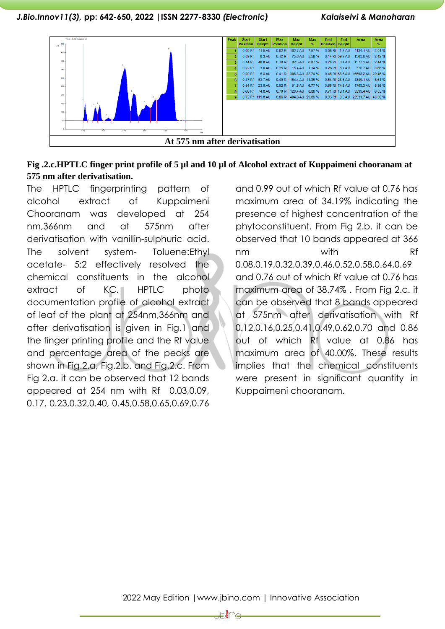



The HPTLC fingerprinting pattern of alcohol extract of Kuppaimeni Chooranam was developed at 254 nm,366nm and at 575nm after derivatisation with vanillin-sulphuric acid. The solvent system- Toluene:Ethyl acetate- 5:2 effectively resolved the chemical constituents in the alcohol extract of KC. HPTLC photo documentation profile of alcohol extract of leaf of the plant at 254nm,366nm and after derivatisation is given in Fig.1 and the finger printing profile and the Rf value and percentage area of the peaks are shown in Fig.2.a, Fig.2.b. and Fig.2.c. From Fig 2.a. it can be observed that 12 bands appeared at 254 nm with Rf 0.03,0.09, 0.17, 0.23,0.32,0.40, 0.45,0.58,0.65,0.69,0.76

and 0.99 out of which Rf value at 0.76 has maximum area of 34.19% indicating the presence of highest concentration of the phytoconstituent. From Fig 2.b. it can be observed that 10 bands appeared at 366 nm with Rf 0.08,0.19,0.32,0.39,0.46,0.52,0.58,0.64,0.69 and 0.76 out of which Rf value at 0.76 has maximum area of 38.74% . From Fig 2.c. it can be observed that 8 bands appeared at 575nm after derivatisation with Rf 0.12,0.16,0.25,0.41,0.49,0.62,0.70 and 0.86 out of which Rf value at 0.86 has maximum area of 40.00%. These results implies that the chemical constituents were present in significant quantity in Kuppaimeni chooranam.

⊯ar ੇ⊂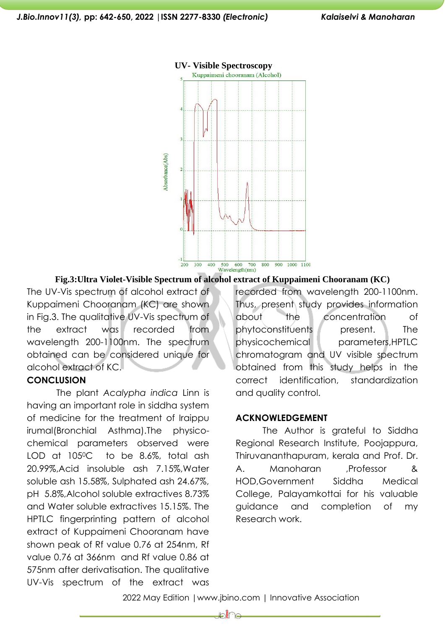

#### **UV- Visible Spectroscopy**

#### **Fig.3:Ultra Violet-Visible Spectrum of alcohol extract of Kuppaimeni Chooranam (KC)**

The UV-Vis spectrum of alcohol extract of Kuppaimeni Chooranam (KC) are shown in Fig.3. The qualitative UV-Vis spectrum of the extract was recorded from wavelength 200-1100nm. The spectrum obtained can be considered unique for alcohol extract of KC.

# **CONCLUSION**

The plant *Acalypha indica* Linn is having an important role in siddha system of medicine for the treatment of Iraippu irumal(Bronchial Asthma).The physicochemical parameters observed were LOD at 105<sup>o</sup>C to be 8.6%, total ash 20.99%,Acid insoluble ash 7.15%,Water soluble ash 15.58%, Sulphated ash 24.67%, pH 5.8%,Alcohol soluble extractives 8.73% and Water soluble extractives 15.15%. The HPTLC fingerprinting pattern of alcohol extract of Kuppaimeni Chooranam have shown peak of Rf value 0.76 at 254nm, Rf value 0.76 at 366nm and Rf value 0.86 at 575nm after derivatisation. The qualitative UV-Vis spectrum of the extract was

recorded from wavelength 200-1100nm. Thus, present study provides information about the concentration of phytoconstituents present. The physicochemical parameters,HPTLC chromatogram and UV visible spectrum obtained from this study helps in the correct identification, standardization and quality control.

#### **ACKNOWLEDGEMENT**

The Author is grateful to Siddha Regional Research Institute, Poojappura, Thiruvananthapuram, kerala and Prof. Dr. A. Manoharan ,Professor & HOD,Government Siddha Medical College, Palayamkottai for his valuable guidance and completion of my Research work.

2022 May Edition |www.jbino.com | Innovative Association